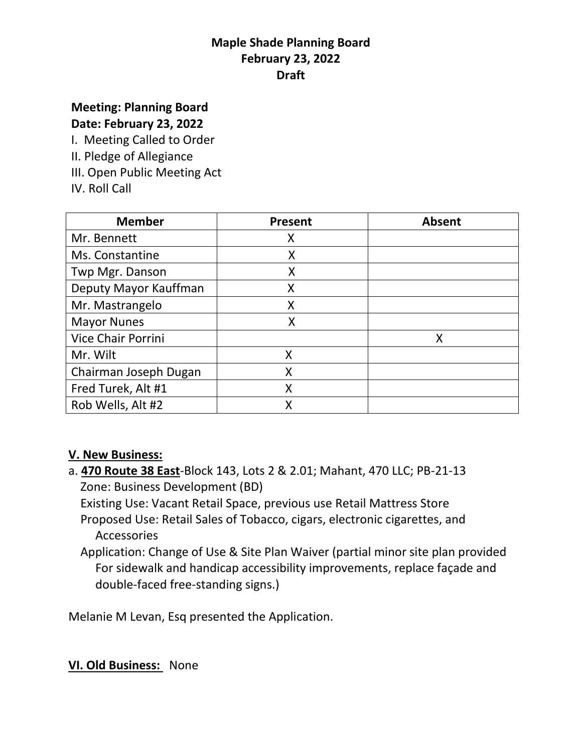# **Maple Shade Planning Board February 23, 2022 Draft**

### **Meeting: Planning Board Date: February 23, 2022**

I. Meeting Called to Order

- II. Pledge of Allegiance
- III. Open Public Meeting Act
- IV. Roll Call

| <b>Member</b>         | <b>Present</b> | <b>Absent</b> |
|-----------------------|----------------|---------------|
| Mr. Bennett           | Χ              |               |
| Ms. Constantine       | X              |               |
| Twp Mgr. Danson       | X              |               |
| Deputy Mayor Kauffman | X              |               |
| Mr. Mastrangelo       | X              |               |
| <b>Mayor Nunes</b>    | Χ              |               |
| Vice Chair Porrini    |                | Χ             |
| Mr. Wilt              | X              |               |
| Chairman Joseph Dugan | Χ              |               |
| Fred Turek, Alt #1    | X              |               |
| Rob Wells, Alt #2     | Χ              |               |

### **V. New Business:**

a. **470 Route 38 East**-Block 143, Lots 2 & 2.01; Mahant, 470 LLC; PB-21-13 Zone: Business Development (BD)

 Existing Use: Vacant Retail Space, previous use Retail Mattress Store Proposed Use: Retail Sales of Tobacco, cigars, electronic cigarettes, and Accessories

 Application: Change of Use & Site Plan Waiver (partial minor site plan provided For sidewalk and handicap accessibility improvements, replace façade and double-faced free-standing signs.)

Melanie M Levan, Esq presented the Application.

### **VI. Old Business:** None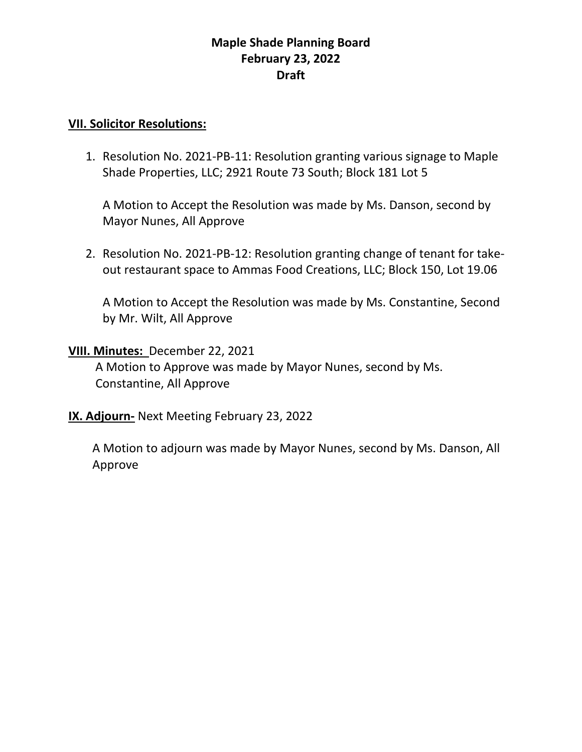## **Maple Shade Planning Board February 23, 2022 Draft**

#### **VII. Solicitor Resolutions:**

1. Resolution No. 2021-PB-11: Resolution granting various signage to Maple Shade Properties, LLC; 2921 Route 73 South; Block 181 Lot 5

A Motion to Accept the Resolution was made by Ms. Danson, second by Mayor Nunes, All Approve

2. Resolution No. 2021-PB-12: Resolution granting change of tenant for takeout restaurant space to Ammas Food Creations, LLC; Block 150, Lot 19.06

A Motion to Accept the Resolution was made by Ms. Constantine, Second by Mr. Wilt, All Approve

#### **VIII. Minutes:** December 22, 2021

 A Motion to Approve was made by Mayor Nunes, second by Ms. Constantine, All Approve

**IX. Adjourn-** Next Meeting February 23, 2022

 A Motion to adjourn was made by Mayor Nunes, second by Ms. Danson, All Approve